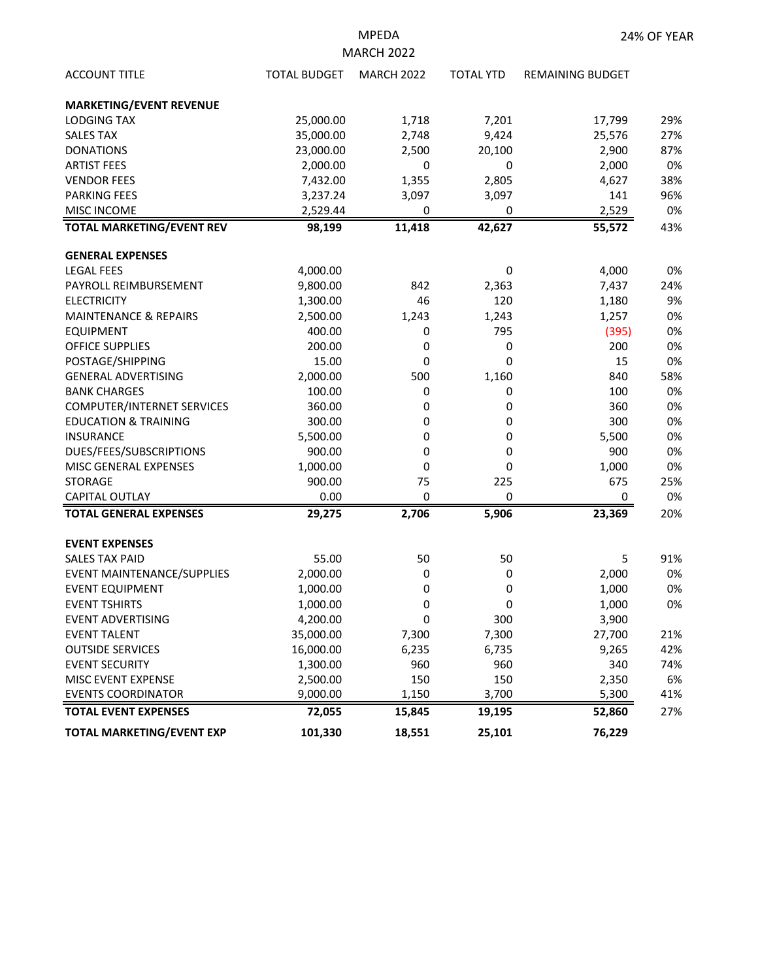| <b>ACCOUNT TITLE</b>              | <b>TOTAL BUDGET</b> | <b>MARCH 2022</b> | <b>TOTAL YTD</b> | <b>REMAINING BUDGET</b> |     |
|-----------------------------------|---------------------|-------------------|------------------|-------------------------|-----|
| <b>MARKETING/EVENT REVENUE</b>    |                     |                   |                  |                         |     |
| <b>LODGING TAX</b>                | 25,000.00           | 1,718             | 7,201            | 17,799                  | 29% |
| <b>SALES TAX</b>                  | 35,000.00           | 2,748             | 9,424            | 25,576                  | 27% |
| <b>DONATIONS</b>                  | 23,000.00           | 2,500             | 20,100           | 2,900                   | 87% |
| <b>ARTIST FEES</b>                | 2,000.00            | 0                 | 0                | 2,000                   | 0%  |
| <b>VENDOR FEES</b>                | 7,432.00            | 1,355             | 2,805            | 4,627                   | 38% |
| <b>PARKING FEES</b>               | 3,237.24            | 3,097             | 3,097            | 141                     | 96% |
| <b>MISC INCOME</b>                | 2,529.44            | 0                 | 0                | 2,529                   | 0%  |
| <b>TOTAL MARKETING/EVENT REV</b>  | 98,199              | 11,418            | 42,627           | 55,572                  | 43% |
| <b>GENERAL EXPENSES</b>           |                     |                   |                  |                         |     |
| <b>LEGAL FEES</b>                 | 4,000.00            |                   | 0                | 4,000                   | 0%  |
| PAYROLL REIMBURSEMENT             | 9,800.00            | 842               | 2,363            | 7,437                   | 24% |
| <b>ELECTRICITY</b>                | 1,300.00            | 46                | 120              | 1,180                   | 9%  |
| <b>MAINTENANCE &amp; REPAIRS</b>  | 2,500.00            | 1,243             | 1,243            | 1,257                   | 0%  |
| <b>EQUIPMENT</b>                  | 400.00              | 0                 | 795              | (395)                   | 0%  |
| <b>OFFICE SUPPLIES</b>            | 200.00              | 0                 | 0                | 200                     | 0%  |
| POSTAGE/SHIPPING                  | 15.00               | 0                 | 0                | 15                      | 0%  |
| <b>GENERAL ADVERTISING</b>        | 2,000.00            | 500               | 1,160            | 840                     | 58% |
| <b>BANK CHARGES</b>               | 100.00              | 0                 | 0                | 100                     | 0%  |
| <b>COMPUTER/INTERNET SERVICES</b> | 360.00              | 0                 | 0                | 360                     | 0%  |
| <b>EDUCATION &amp; TRAINING</b>   | 300.00              | 0                 | 0                | 300                     | 0%  |
| <b>INSURANCE</b>                  | 5,500.00            | 0                 | 0                | 5,500                   | 0%  |
| DUES/FEES/SUBSCRIPTIONS           | 900.00              | 0                 | 0                | 900                     | 0%  |
| MISC GENERAL EXPENSES             | 1,000.00            | 0                 | 0                | 1,000                   | 0%  |
| <b>STORAGE</b>                    | 900.00              | 75                | 225              | 675                     | 25% |
| <b>CAPITAL OUTLAY</b>             | 0.00                | 0                 | 0                | 0                       | 0%  |
| <b>TOTAL GENERAL EXPENSES</b>     | 29,275              | 2,706             | 5,906            | 23,369                  | 20% |
| <b>EVENT EXPENSES</b>             |                     |                   |                  |                         |     |
| <b>SALES TAX PAID</b>             | 55.00               | 50                | 50               | 5                       | 91% |
| EVENT MAINTENANCE/SUPPLIES        | 2,000.00            | 0                 | 0                | 2,000                   | 0%  |
| <b>EVENT EQUIPMENT</b>            | 1,000.00            | 0                 | 0                | 1,000                   | 0%  |
| <b>EVENT TSHIRTS</b>              | 1,000.00            | 0                 | 0                | 1,000                   | 0%  |
| EVENT ADVERTISING                 | 4,200.00            | 0                 | 300              | 3,900                   |     |
| <b>EVENT TALENT</b>               | 35,000.00           | 7,300             | 7,300            | 27,700                  | 21% |
| <b>OUTSIDE SERVICES</b>           | 16,000.00           | 6,235             | 6,735            | 9,265                   | 42% |
| <b>EVENT SECURITY</b>             | 1,300.00            | 960               | 960              | 340                     | 74% |
| MISC EVENT EXPENSE                | 2,500.00            | 150               | 150              | 2,350                   | 6%  |
| <b>EVENTS COORDINATOR</b>         | 9,000.00            | 1,150             | 3,700            | 5,300                   | 41% |
| <b>TOTAL EVENT EXPENSES</b>       | 72,055              | 15,845            | 19,195           | 52,860                  | 27% |
| <b>TOTAL MARKETING/EVENT EXP</b>  | 101,330             | 18,551            | 25,101           | 76,229                  |     |

MPEDA MARCH 2022